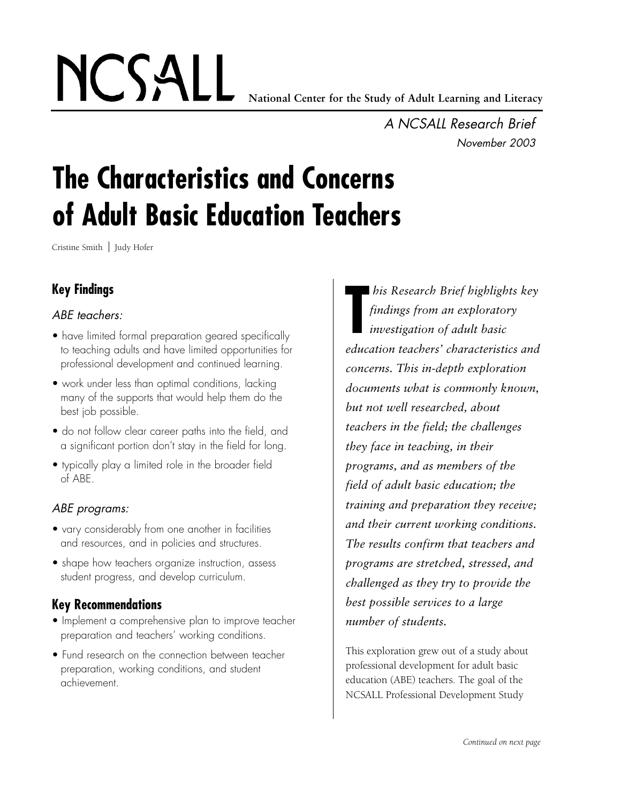NCSALL **National Center for the Study of Adult Learning and Literacy**

*A NCSALL Research Brief November 2003*

# **The Characteristics and Concerns of Adult Basic Education Teachers**

Cristine Smith | Judy Hofer

# **Key Findings**

## *ABE teachers:*

- have limited formal preparation geared specifically to teaching adults and have limited opportunities for professional development and continued learning.
- work under less than optimal conditions, lacking many of the supports that would help them do the best job possible.
- do not follow clear career paths into the field, and a significant portion don't stay in the field for long.
- typically play a limited role in the broader field of ABE.

## *ABE programs:*

- vary considerably from one another in facilities and resources, and in policies and structures.
- shape how teachers organize instruction, assess student progress, and develop curriculum.

## **Key Recommendations**

- Implement a comprehensive plan to improve teacher preparation and teachers' working conditions.
- Fund research on the connection between teacher preparation, working conditions, and student achievement.

**T** *his Research Brief highlights key findings from an exploratory investigation of adult basic education teachers' characteristics and concerns. This in-depth exploration documents what is commonly known, but not well researched, about teachers in the field; the challenges they face in teaching, in their programs, and as members of the field of adult basic education; the training and preparation they receive; and their current working conditions. The results confirm that teachers and programs are stretched, stressed, and challenged as they try to provide the best possible services to a large number of students.*

This exploration grew out of a study about p rofessional development for adult basic education (ABE) teachers. The goal of the NCSALL Professional Development Study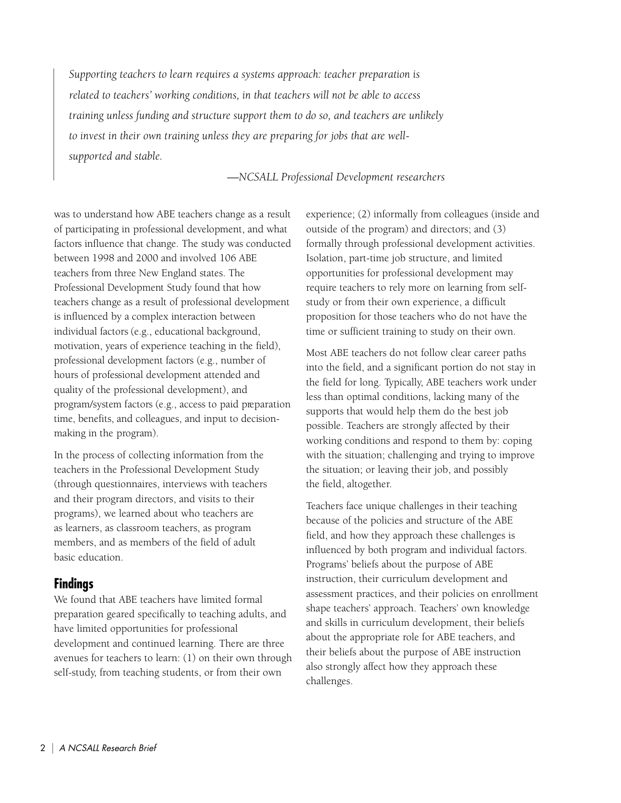*Supporting teachers to learn requires a systems approach: teacher preparation is related to teachers' working conditions, in that teachers will not be able to access training unless funding and structure support them to do so, and teachers are unlikely to invest in their own training unless they are preparing for jobs that are wellsupported and stable.* 

#### *—NCSALL Professional Development researchers*

was to understand how ABE teachers change as a result of participating in professional development, and what factors influence that change. The study was conducted between 1998 and 2000 and involved 106 ABE teachers from three New England states. The Professional Development Study found that how teachers change as a result of professional development is influenced by a complex interaction between individual factors (e.g., educational background, motivation, years of experience teaching in the field), p rofessional development factors (e.g., number of hours of professional development attended and quality of the professional development), and program/system factors (e.g., access to paid preparation time, benefits, and colleagues, and input to decisionmaking in the program).

In the process of collecting information from the teachers in the Professional Development Study (through questionnaires, interviews with teachers and their program directors, and visits to their programs), we learned about who teachers are as learners, as classroom teachers, as program members, and as members of the field of adult basic education.

## **Findings**

We found that ABE teachers have limited formal preparation geared specifically to teaching adults, and have limited opportunities for professional development and continued learning. There are three avenues for teachers to learn: (1) on their own through self-study, from teaching students, or from their own

experience; (2) informally from colleagues (inside and outside of the program) and directors; and (3) formally through professional development activities. Isolation, part-time job structure, and limited opportunities for professional development may require teachers to rely more on learning from selfstudy or from their own experience, a difficult proposition for those teachers who do not have the time or sufficient training to study on their own.

Most ABE teachers do not follow clear career paths into the field, and a significant portion do not stay in the field for long. Typically, ABE teachers work under less than optimal conditions, lacking many of the supports that would help them do the best job possible. Teachers are strongly affected by their working conditions and respond to them by: coping with the situation; challenging and trying to improve the situation; or leaving their job, and possibly the field, altogether.

Teachers face unique challenges in their teaching because of the policies and structure of the ABE field, and how they approach these challenges is influenced by both program and individual factors. Programs' beliefs about the purpose of ABE instruction, their curriculum development and assessment practices, and their policies on enrollment shape teachers' approach. Teachers' own knowledge and skills in curriculum development, their beliefs about the appropriate role for ABE teachers, and their beliefs about the purpose of ABE instruction also strongly affect how they approach these challenges.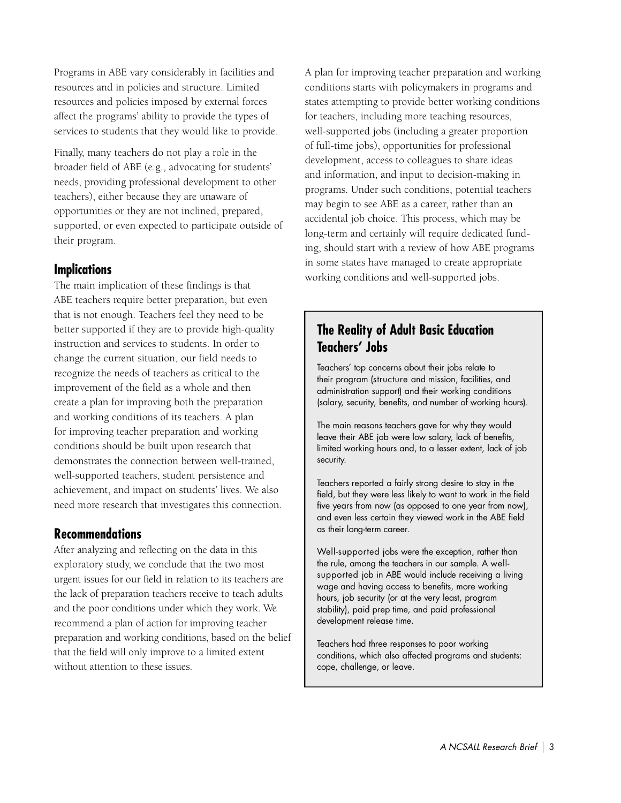Programs in ABE vary considerably in facilities and resources and in policies and structure. Limited resources and policies imposed by external forces affect the programs' ability to provide the types of services to students that they would like to provide.

Finally, many teachers do not play a role in the broader field of ABE (e.g., advocating for students' needs, providing professional development to other teachers), either because they are unaware of opportunities or they are not inclined, prepared, supported, or even expected to participate outside of their program.

## **Implications**

The main implication of these findings is that ABE teachers require better preparation, but even that is not enough. Teachers feel they need to be better supported if they are to provide high-quality instruction and services to students. In order to change the current situation, our field needs to recognize the needs of teachers as critical to the improvement of the field as a whole and then create a plan for improving both the preparation and working conditions of its teachers. A plan for improving teacher preparation and working conditions should be built upon research that demonstrates the connection between well-trained, well-supported teachers, student persistence and achievement, and impact on students' lives. We also need more research that investigates this connection.

#### **Recommendations**

After analyzing and reflecting on the data in this exploratory study, we conclude that the two most urgent issues for our field in relation to its teachers are the lack of preparation teachers receive to teach adults and the poor conditions under which they work. We recommend a plan of action for improving teacher preparation and working conditions, based on the belief that the field will only improve to a limited extent without attention to these issues.

A plan for improving teacher preparation and working conditions starts with policymakers in programs and states attempting to provide better working conditions for teachers, including more teaching resources, well-supported jobs (including a greater proportion of full-time jobs), opportunities for professional development, access to colleagues to share ideas and information, and input to decision-making in programs. Under such conditions, potential teachers may begin to see ABE as a career, rather than an accidental job choice. This process, which may be long-term and certainly will require dedicated funding, should start with a review of how ABE programs in some states have managed to create appropriate working conditions and well-supported jobs.

# **The Reality of Adult Basic Education Teachers' Jobs**

Teachers' top concerns about their jobs relate to their program (structure and mission, facilities, and administration support) and their working conditions (salary, security, benefits, and number of working hours).

The main reasons teachers gave for why they would leave their ABE job were low salary, lack of benefits, limited working hours and, to a lesser extent, lack of job security.

Teachers reported a fairly strong desire to stay in the field, but they were less likely to want to work in the field five years from now (as opposed to one year from now), and even less certain they viewed work in the ABE field as their long-term career.

Well-supported jobs were the exception, rather than the rule, among the teachers in our sample. A wellsupported job in ABE would include receiving a living wage and having access to benefits, more working hours, job security (or at the very least, program stability), paid prep time, and paid professional development release time.

Teachers had three responses to poor working conditions, which also affected programs and students: cope, challenge, or leave.